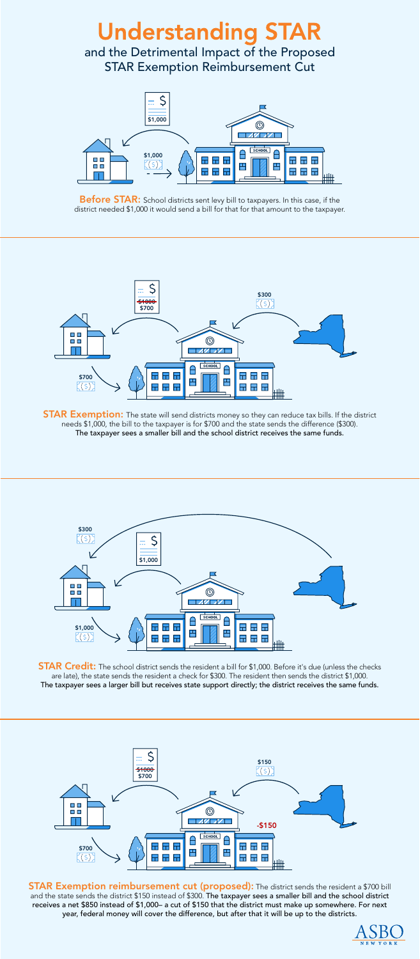Before STAR: School districts sent levy bill to taxpayers. In this case, if the district needed \$1,000 it would send a bill for that for that amount to the taxpayer.



**STAR Exemption:** The state will send districts money so they can reduce tax bills. If the district needs \$1,000, the bill to the taxpayer is for \$700 and the state sends the difference (\$300). The taxpayer sees a smaller bill and the school district receives the same funds.

**STAR Exemption reimbursement cut (proposed):** The district sends the resident a \$700 bill and the state sends the district \$150 instead of \$300. The taxpayer sees a smaller bill and the school district receives a net \$850 instead of \$1,000– a cut of \$150 that the district must make up somewhere. For next year, federal money will cover the difference, but after that it will be up to the districts.





**STAR Credit:** The school district sends the resident a bill for \$1,000. Before it's due (unless the checks are late), the state sends the resident a check for \$300. The resident then sends the district \$1,000. The taxpayer sees a larger bill but receives state support directly; the district receives the same funds.





## **Understanding STAR**

and the Detrimental Impact of the Proposed STAR Exemption Reimbursement Cut